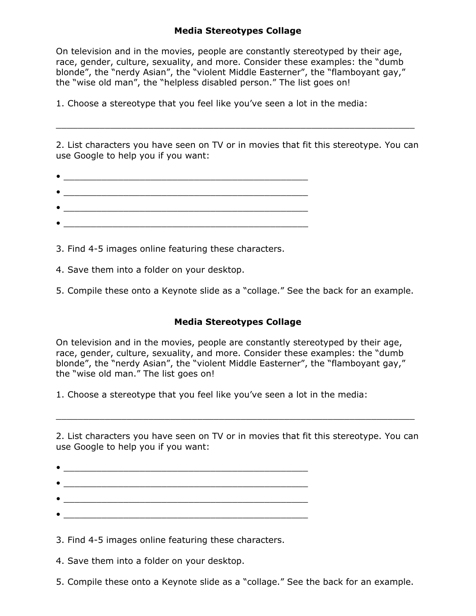## **Media Stereotypes Collage**

On television and in the movies, people are constantly stereotyped by their age, race, gender, culture, sexuality, and more. Consider these examples: the "dumb blonde", the "nerdy Asian", the "violent Middle Easterner", the "flamboyant gay," the "wise old man", the "helpless disabled person." The list goes on!

1. Choose a stereotype that you feel like you've seen a lot in the media:

2. List characters you have seen on TV or in movies that fit this stereotype. You can use Google to help you if you want:

 $\mathcal{L}_\mathcal{L} = \mathcal{L}_\mathcal{L} = \mathcal{L}_\mathcal{L} = \mathcal{L}_\mathcal{L} = \mathcal{L}_\mathcal{L} = \mathcal{L}_\mathcal{L} = \mathcal{L}_\mathcal{L} = \mathcal{L}_\mathcal{L} = \mathcal{L}_\mathcal{L} = \mathcal{L}_\mathcal{L} = \mathcal{L}_\mathcal{L} = \mathcal{L}_\mathcal{L} = \mathcal{L}_\mathcal{L} = \mathcal{L}_\mathcal{L} = \mathcal{L}_\mathcal{L} = \mathcal{L}_\mathcal{L} = \mathcal{L}_\mathcal{L}$ 

3. Find 4-5 images online featuring these characters.

4. Save them into a folder on your desktop.

5. Compile these onto a Keynote slide as a "collage." See the back for an example.

## **Media Stereotypes Collage**

On television and in the movies, people are constantly stereotyped by their age, race, gender, culture, sexuality, and more. Consider these examples: the "dumb blonde", the "nerdy Asian", the "violent Middle Easterner", the "flamboyant gay," the "wise old man." The list goes on!

1. Choose a stereotype that you feel like you've seen a lot in the media:

2. List characters you have seen on TV or in movies that fit this stereotype. You can use Google to help you if you want:

 $\mathcal{L}_\mathcal{L} = \mathcal{L}_\mathcal{L} = \mathcal{L}_\mathcal{L} = \mathcal{L}_\mathcal{L} = \mathcal{L}_\mathcal{L} = \mathcal{L}_\mathcal{L} = \mathcal{L}_\mathcal{L} = \mathcal{L}_\mathcal{L} = \mathcal{L}_\mathcal{L} = \mathcal{L}_\mathcal{L} = \mathcal{L}_\mathcal{L} = \mathcal{L}_\mathcal{L} = \mathcal{L}_\mathcal{L} = \mathcal{L}_\mathcal{L} = \mathcal{L}_\mathcal{L} = \mathcal{L}_\mathcal{L} = \mathcal{L}_\mathcal{L}$ 

 $\bullet$   $\_\_\_\_\_\_\_$   $\_\_\_\_$   $\_\_\_\_$ 

3. Find 4-5 images online featuring these characters.

4. Save them into a folder on your desktop.

5. Compile these onto a Keynote slide as a "collage." See the back for an example.